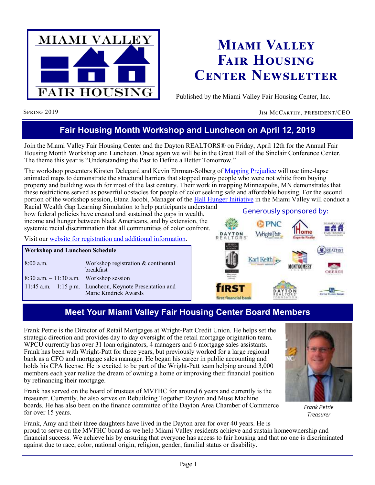

# **Miami Valley Fair Housing Center Newsletter**

Published by the Miami Valley Fair Housing Center, Inc.

Spring 2019 Jim McCarthy, president/CEO

# **Fair Housing Month Workshop and Luncheon on April 12, 2019**

Join the Miami Valley Fair Housing Center and the Dayton REALTORS® on Friday, April 12th for the Annual Fair Housing Month Workshop and Luncheon. Once again we will be in the Great Hall of the Sinclair Conference Center. The theme this year is "Understanding the Past to Define a Better Tomorrow."

The workshop presenters Kirsten Delegard and Kevin Ehrman-Solberg of [Mapping Prejudice](https://www.mappingprejudice.org/) will use time-lapse animated maps to demonstrate the structural barriers that stopped many people who were not white from buying property and building wealth for most of the last century. Their work in mapping Minneapolis, MN demonstrates that these restrictions served as powerful obstacles for people of color seeking safe and affordable housing. For the second portion of the workshop session, Etana Jacobi, Manager of the [Hall Hunger Initiative](https://hallhunger.org/) in the Miami Valley will conduct a

Racial Wealth Gap Learning Simulation to help participants understand how federal policies have created and sustained the gaps in wealth, income and hunger between black Americans, and by extension, the systemic racial discrimination that all communities of color confront.

Visit our [website for registration and additional information.](http://mvfairhousing.com/fhmonth2019/)

#### **Workshop and Luncheon Schedule**

| $8:00$ a.m.                                | Workshop registration & continental<br><b>breakfast</b>                            |
|--------------------------------------------|------------------------------------------------------------------------------------|
| $8:30$ a.m. $-11:30$ a.m. Workshop session |                                                                                    |
|                                            | 11:45 a.m. - 1:15 p.m. Luncheon, Keynote Presentation and<br>Marie Kindrick Awards |



# **Meet Your Miami Valley Fair Housing Center Board Members**

Frank Petrie is the Director of Retail Mortgages at Wright-Patt Credit Union. He helps set the strategic direction and provides day to day oversight of the retail mortgage origination team. WPCU currently has over 31 loan originators, 4 managers and 6 mortgage sales assistants. Frank has been with Wright-Patt for three years, but previously worked for a large regional bank as a CFO and mortgage sales manager. He began his career in public accounting and holds his CPA license. He is excited to be part of the Wright-Patt team helping around 3,000 members each year realize the dream of owning a home or improving their financial position by refinancing their mortgage.

Frank has served on the board of trustees of MVFHC for around 6 years and currently is the treasurer. Currently, he also serves on Rebuilding Together Dayton and Muse Machine boards. He has also been on the finance committee of the Dayton Area Chamber of Commerce for over 15 years.

Frank, Amy and their three daughters have lived in the Dayton area for over 40 years. He is proud to serve on the MVFHC board as we help Miami Valley residents achieve and sustain homeownership and financial success. We achieve his by ensuring that everyone has access to fair housing and that no one is discriminated against due to race, color, national origin, religion, gender, familial status or disability.

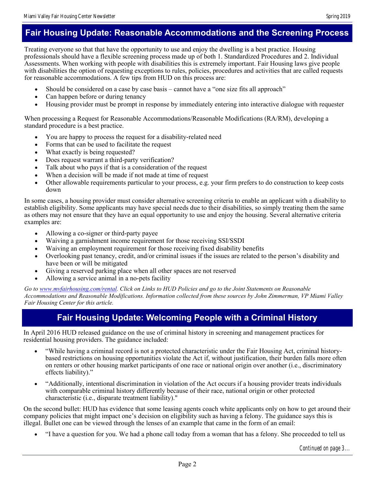### **Fair Housing Update: Reasonable Accommodations and the Screening Process**

Treating everyone so that that have the opportunity to use and enjoy the dwelling is a best practice. Housing professionals should have a flexible screening process made up of both 1. Standardized Procedures and 2. Individual Assessments. When working with people with disabilities this is extremely important. Fair Housing laws give people with disabilities the option of requesting exceptions to rules, policies, procedures and activities that are called requests for reasonable accommodations. A few tips from HUD on this process are:

- Should be considered on a case by case basis cannot have a "one size fits all approach"
- Can happen before or during tenancy
- Housing provider must be prompt in response by immediately entering into interactive dialogue with requester

When processing a Request for Reasonable Accommodations/Reasonable Modifications (RA/RM), developing a standard procedure is a best practice.

- You are happy to process the request for a disability-related need
- Forms that can be used to facilitate the request
- What exactly is being requested?
- Does request warrant a third-party verification?
- Talk about who pays if that is a consideration of the request
- When a decision will be made if not made at time of request
- Other allowable requirements particular to your process, e.g. your firm prefers to do construction to keep costs down

In some cases, a housing provider must consider alternative screening criteria to enable an applicant with a disability to establish eligibility. Some applicants may have special needs due to their disabilities, so simply treating them the same as others may not ensure that they have an equal opportunity to use and enjoy the housing. Several alternative criteria examples are:

- Allowing a co-signer or third-party payee
- Waiving a garnishment income requirement for those receiving SSI/SSDI
- Waiving an employment requirement for those receiving fixed disability benefits
- Overlooking past tenancy, credit, and/or criminal issues if the issues are related to the person's disability and have been or will be mitigated
- Giving a reserved parking place when all other spaces are not reserved
- Allowing a service animal in a no-pets facility

*Go to [www.mvfairhousing.com/rental.](http://www.mvfairhousing.com/rental) Click on Links to HUD Policies and go to the Joint Statements on Reasonable Accommodations and Reasonable Modifications. Information collected from these sources by John Zimmerman, VP Miami Valley Fair Housing Center for this article.*

### **Fair Housing Update: Welcoming People with a Criminal History**

In April 2016 HUD released guidance on the use of criminal history in screening and management practices for residential housing providers. The guidance included:

- "While having a criminal record is not a protected characteristic under the Fair Housing Act, criminal historybased restrictions on housing opportunities violate the Act if, without justification, their burden falls more often on renters or other housing market participants of one race or national origin over another (i.e., discriminatory effects liability)."
- "Additionally, intentional discrimination in violation of the Act occurs if a housing provider treats individuals with comparable criminal history differently because of their race, national origin or other protected characteristic (i.e., disparate treatment liability)."

On the second bullet: HUD has evidence that some leasing agents coach white applicants only on how to get around their company policies that might impact one's decision on eligibility such as having a felony. The guidance says this is illegal. Bullet one can be viewed through the lenses of an example that came in the form of an email:

"I have a question for you. We had a phone call today from a woman that has a felony. She proceeded to tell us